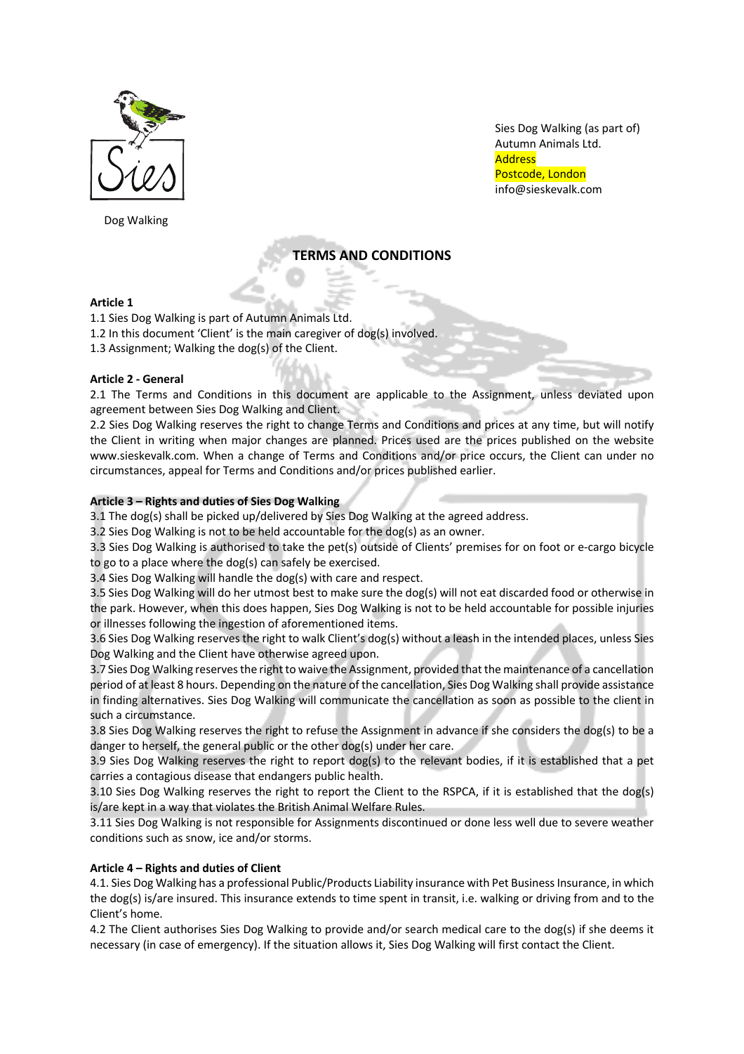

Dog Walking

Sies Dog Walking (as part of) Autumn Animals Ltd. **Address** Postcode, London info@sieskevalk.com

# **TERMS AND CONDITIONS**

# **Article 1**

1.1 Sies Dog Walking is part of Autumn Animals Ltd.

- 1.2 In this document 'Client' is the main caregiver of dog(s) involved.
- 1.3 Assignment; Walking the dog(s) of the Client.

# **Article 2 - General**

2.1 The Terms and Conditions in this document are applicable to the Assignment, unless deviated upon agreement between Sies Dog Walking and Client.

2.2 Sies Dog Walking reserves the right to change Terms and Conditions and prices at any time, but will notify the Client in writing when major changes are planned. Prices used are the prices published on the website www.sieskevalk.com. When a change of Terms and Conditions and/or price occurs, the Client can under no circumstances, appeal for Terms and Conditions and/or prices published earlier.

# **Article 3 – Rights and duties of Sies Dog Walking**

3.1 The dog(s) shall be picked up/delivered by Sies Dog Walking at the agreed address.

3.2 Sies Dog Walking is not to be held accountable for the dog(s) as an owner.

3.3 Sies Dog Walking is authorised to take the pet(s) outside of Clients' premises for on foot or e-cargo bicycle to go to a place where the dog(s) can safely be exercised.

3.4 Sies Dog Walking will handle the dog(s) with care and respect.

3.5 Sies Dog Walking will do her utmost best to make sure the dog(s) will not eat discarded food or otherwise in the park. However, when this does happen, Sies Dog Walking is not to be held accountable for possible injuries or illnesses following the ingestion of aforementioned items.

3.6 Sies Dog Walking reserves the right to walk Client's dog(s) without a leash in the intended places, unless Sies Dog Walking and the Client have otherwise agreed upon.

3.7 Sies Dog Walking reserves the right to waive the Assignment, provided that the maintenance of a cancellation period of at least 8 hours. Depending on the nature of the cancellation, Sies Dog Walking shall provide assistance in finding alternatives. Sies Dog Walking will communicate the cancellation as soon as possible to the client in such a circumstance.

3.8 Sies Dog Walking reserves the right to refuse the Assignment in advance if she considers the dog(s) to be a danger to herself, the general public or the other dog(s) under her care.

3.9 Sies Dog Walking reserves the right to report dog(s) to the relevant bodies, if it is established that a pet carries a contagious disease that endangers public health.

3.10 Sies Dog Walking reserves the right to report the Client to the RSPCA, if it is established that the dog(s) is/are kept in a way that violates the British Animal Welfare Rules.

3.11 Sies Dog Walking is not responsible for Assignments discontinued or done less well due to severe weather conditions such as snow, ice and/or storms.

# **Article 4 – Rights and duties of Client**

4.1. Sies Dog Walking has a professional Public/Products Liability insurance with Pet Business Insurance, in which the dog(s) is/are insured. This insurance extends to time spent in transit, i.e. walking or driving from and to the Client's home.

4.2 The Client authorises Sies Dog Walking to provide and/or search medical care to the dog(s) if she deems it necessary (in case of emergency). If the situation allows it, Sies Dog Walking will first contact the Client.